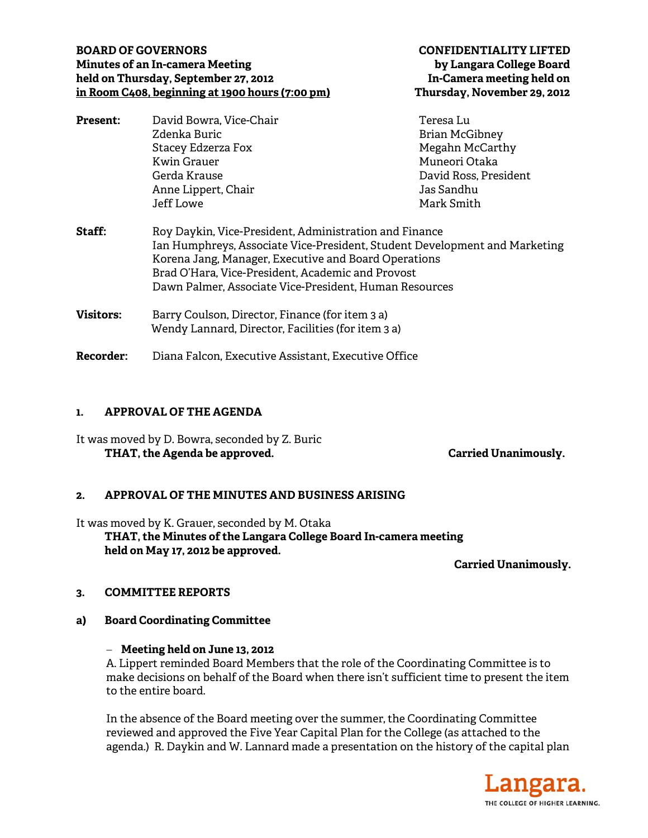# **BOARD OF GOVERNORS CONFIDENTIALITY LIFTED Minutes of an In-camera Meeting by Langara College Board held on Thursday, September 27, 2012 In-Camera meeting held on in Room C408, beginning at 1900 hours (7:00 pm) Thursday, November 29, 2012**

| <b>Present:</b>  | David Bowra, Vice-Chair                                                                                                                                                                                                                                                                                     | Teresa Lu             |
|------------------|-------------------------------------------------------------------------------------------------------------------------------------------------------------------------------------------------------------------------------------------------------------------------------------------------------------|-----------------------|
|                  | Zdenka Buric                                                                                                                                                                                                                                                                                                | <b>Brian McGibney</b> |
|                  | Stacey Edzerza Fox                                                                                                                                                                                                                                                                                          | Megahn McCarthy       |
|                  | Kwin Grauer                                                                                                                                                                                                                                                                                                 | Muneori Otaka         |
|                  | Gerda Krause                                                                                                                                                                                                                                                                                                | David Ross, President |
|                  | Anne Lippert, Chair                                                                                                                                                                                                                                                                                         | Jas Sandhu            |
|                  | Jeff Lowe                                                                                                                                                                                                                                                                                                   | Mark Smith            |
| <b>Staff:</b>    | Roy Daykin, Vice-President, Administration and Finance<br>Ian Humphreys, Associate Vice-President, Student Development and Marketing<br>Korena Jang, Manager, Executive and Board Operations<br>Brad O'Hara, Vice-President, Academic and Provost<br>Dawn Palmer, Associate Vice-President, Human Resources |                       |
| <b>Visitors:</b> | Barry Coulson, Director, Finance (for item 3 a)<br>Wendy Lannard, Director, Facilities (for item 3 a)                                                                                                                                                                                                       |                       |
| <b>Recorder:</b> | Diana Falcon, Executive Assistant, Executive Office                                                                                                                                                                                                                                                         |                       |

### **1. APPROVAL OF THE AGENDA**

It was moved by D. Bowra, seconded by Z. Buric THAT, the Agenda be approved. **Carried Unanimously.** Carried Unanimously.

#### **2. APPROVAL OF THE MINUTES AND BUSINESS ARISING**

It was moved by K. Grauer, seconded by M. Otaka **THAT, the Minutes of the Langara College Board In-camera meeting held on May 17, 2012 be approved.** 

**Carried Unanimously.** 

#### **3. COMMITTEE REPORTS**

**a) Board Coordinating Committee** 

#### **Meeting held on June 13, 2012**

A. Lippert reminded Board Members that the role of the Coordinating Committee is to make decisions on behalf of the Board when there isn't sufficient time to present the item to the entire board.

In the absence of the Board meeting over the summer, the Coordinating Committee reviewed and approved the Five Year Capital Plan for the College (as attached to the agenda.) R. Daykin and W. Lannard made a presentation on the history of the capital plan